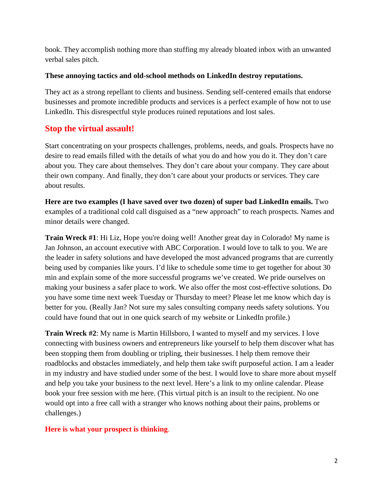# **LinkedIn Mistakes That Cost You Clients and Credibility**



LinkedIn is a useful and powerful tool for professionals to increase sales and revenue. It offers the greatest and most efficient opportunity to identify ideal clients and customers. LinkedIn is a mighty weapon if used properly and with precision. It can also be a reputation killer when used improperly and unprofessionally. LinkedIn has leveled the playing field. Are you using it or abusing it?

## **Building a prosperous business has never been easier with the tools of technology available today.**

LinkedIn enables professionals to market their services and sell themselves without spending a fortune. If you have not embraced LinkedIn yet, run, don't walk, and join the LinkedIn party. You won't regret it if you use it properly. You will if you choose the make mistakes that send you to the trash.

**There is no shortage of gurus on the internet telling professionals the best way to use LinkedIn to increase traffic and close more sales.** Some Linkedin advisors offer sound advice and useful methods to use this attention-getting tool respectfully and professionally. They preach that the same rules apply online as well as offline. Luckily many people follow that simple and straightforward advice.

Sadly others don't want anything to do with sound and useful advice. They have no time to follow online etiquette. So they forge ahead using outdated tactics that repel, not attract, prospects. Some LinkedIn advisors preach a radically different style and philosophy that is disrespectful and unprofessional. They teach professionals to barge into someone's LinkedIn inbox with an all-purpose cold call email. They show people how to copy and paste and launch a generic one size fits all template email to their list of connections.

#### **Cold calls, email spam and blast messages to the masses don't work in this digital age. Aggravating and irritating people is no way to start a relationship—online or offline.**

I receive dozens of weekly emails via LinkedIn that are nothing more than a virtual sales pitch. Someone is pushing their products or services. Others are peddling their newest book or latest program. Complete strangers are asking me to sign up for their newsletter or download their e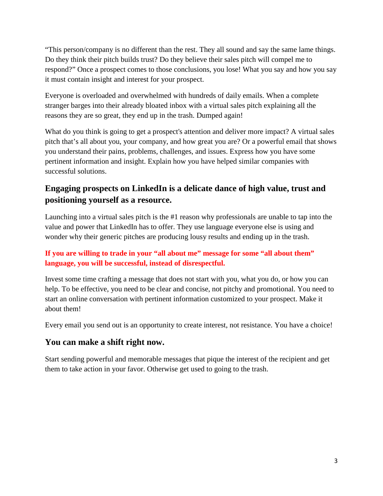book. They accomplish nothing more than stuffing my already bloated inbox with an unwanted verbal sales pitch.

#### **These annoying tactics and old-school methods on LinkedIn destroy reputations.**

They act as a strong repellant to clients and business. Sending self-centered emails that endorse businesses and promote incredible products and services is a perfect example of how not to use LinkedIn. This disrespectful style produces ruined reputations and lost sales.

### **Stop the virtual assault!**

Start concentrating on your prospects challenges, problems, needs, and goals. Prospects have no desire to read emails filled with the details of what you do and how you do it. They don't care about you. They care about themselves. They don't care about your company. They care about their own company. And finally, they don't care about your products or services. They care about results.

**Here are two examples (I have saved over two dozen) of super bad LinkedIn emails.** Two examples of a traditional cold call disguised as a "new approach" to reach prospects. Names and minor details were changed.

**Train Wreck #1**: Hi Liz, Hope you're doing well! Another great day in Colorado! My name is Jan Johnson, an account executive with ABC Corporation. I would love to talk to you. We are the leader in safety solutions and have developed the most advanced programs that are currently being used by companies like yours. I'd like to schedule some time to get together for about 30 min and explain some of the more successful programs we've created. We pride ourselves on making your business a safer place to work. We also offer the most cost-effective solutions. Do you have some time next week Tuesday or Thursday to meet? Please let me know which day is better for you. (Really Jan? Not sure my sales consulting company needs safety solutions. You could have found that out in one quick search of my website or LinkedIn profile.)

**Train Wreck #2**: My name is Martin Hillsboro, I wanted to myself and my services. I love connecting with business owners and entrepreneurs like yourself to help them discover what has been stopping them from doubling or tripling, their businesses. I help them remove their roadblocks and obstacles immediately, and help them take swift purposeful action. I am a leader in my industry and have studied under some of the best. I would love to share more about myself and help you take your business to the next level. Here's a link to my online calendar. Please book your free session with me here. (This virtual pitch is an insult to the recipient. No one would opt into a free call with a stranger who knows nothing about their pains, problems or challenges.)

#### **Here is what your prospect is thinking**.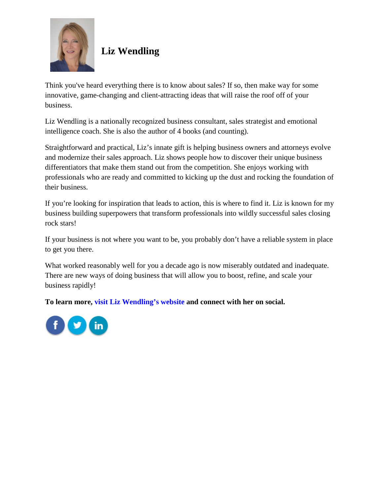"This person/company is no different than the rest. They all sound and say the same lame things. Do they think their pitch builds trust? Do they believe their sales pitch will compel me to respond?" Once a prospect comes to those conclusions, you lose! What you say and how you say it must contain insight and interest for your prospect.

Everyone is overloaded and overwhelmed with hundreds of daily emails. When a complete stranger barges into their already bloated inbox with a virtual sales pitch explaining all the reasons they are so great, they end up in the trash. Dumped again!

What do you think is going to get a prospect's attention and deliver more impact? A virtual sales pitch that's all about you, your company, and how great you are? Or a powerful email that shows you understand their pains, problems, challenges, and issues. Express how you have some pertinent information and insight. Explain how you have helped similar companies with successful solutions.

## **Engaging prospects on LinkedIn is a delicate dance of high value, trust and positioning yourself as a resource.**

Launching into a virtual sales pitch is the #1 reason why professionals are unable to tap into the value and power that LinkedIn has to offer. They use language everyone else is using and wonder why their generic pitches are producing lousy results and ending up in the trash.

#### **If you are willing to trade in your "all about me" message for some "all about them" language, you will be successful, instead of disrespectful.**

Invest some time crafting a message that does not start with you, what you do, or how you can help. To be effective, you need to be clear and concise, not pitchy and promotional. You need to start an online conversation with pertinent information customized to your prospect. Make it about them!

Every email you send out is an opportunity to create interest, not resistance. You have a choice!

### **You can make a shift right now.**

Start sending powerful and memorable messages that pique the interest of the recipient and get them to take action in your favor. Otherwise get used to going to the trash.